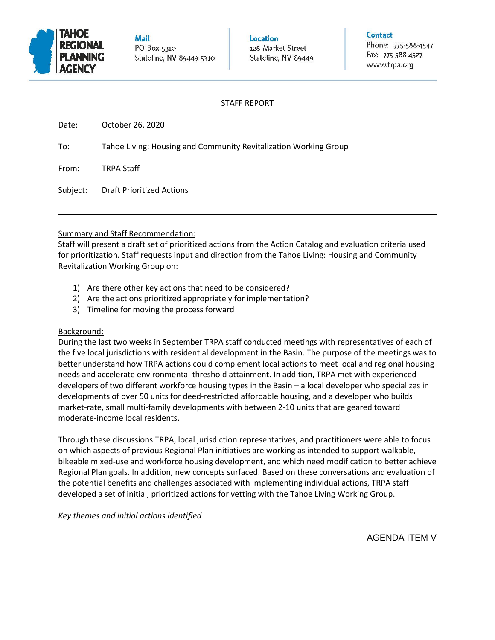

**Mail** PO Box 5310 Stateline, NV 89449-5310 Location 128 Market Street Stateline, NV 89449 Contact

Phone: 775-588-4547 Fax: 775-588-4527 www.trpa.org

# STAFF REPORT

| Date: | October 26, 2020 |  |
|-------|------------------|--|
|       |                  |  |

To: Tahoe Living: Housing and Community Revitalization Working Group

From: TRPA Staff

Subject: Draft Prioritized Actions

## Summary and Staff Recommendation:

Staff will present a draft set of prioritized actions from the Action Catalog and evaluation criteria used for prioritization. Staff requests input and direction from the Tahoe Living: Housing and Community Revitalization Working Group on:

- 1) Are there other key actions that need to be considered?
- 2) Are the actions prioritized appropriately for implementation?
- 3) Timeline for moving the process forward

## Background:

During the last two weeks in September TRPA staff conducted meetings with representatives of each of the five local jurisdictions with residential development in the Basin. The purpose of the meetings was to better understand how TRPA actions could complement local actions to meet local and regional housing needs and accelerate environmental threshold attainment. In addition, TRPA met with experienced developers of two different workforce housing types in the Basin – a local developer who specializes in developments of over 50 units for deed-restricted affordable housing, and a developer who builds market-rate, small multi-family developments with between 2-10 units that are geared toward moderate-income local residents.

Through these discussions TRPA, local jurisdiction representatives, and practitioners were able to focus on which aspects of previous Regional Plan initiatives are working as intended to support walkable, bikeable mixed-use and workforce housing development, and which need modification to better achieve Regional Plan goals. In addition, new concepts surfaced. Based on these conversations and evaluation of the potential benefits and challenges associated with implementing individual actions, TRPA staff developed a set of initial, prioritized actions for vetting with the Tahoe Living Working Group.

## *Key themes and initial actions identified*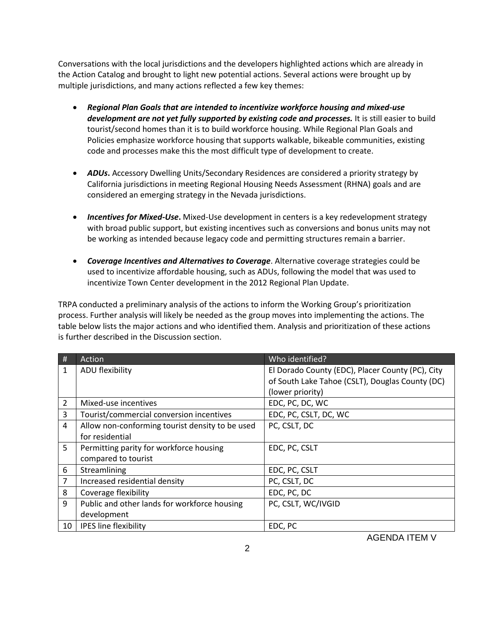Conversations with the local jurisdictions and the developers highlighted actions which are already in the Action Catalog and brought to light new potential actions. Several actions were brought up by multiple jurisdictions, and many actions reflected a few key themes:

- *Regional Plan Goals that are intended to incentivize workforce housing and mixed-use development are not yet fully supported by existing code and processes.* It is still easier to build tourist/second homes than it is to build workforce housing. While Regional Plan Goals and Policies emphasize workforce housing that supports walkable, bikeable communities, existing code and processes make this the most difficult type of development to create.
- *ADUs***.** Accessory Dwelling Units/Secondary Residences are considered a priority strategy by California jurisdictions in meeting Regional Housing Needs Assessment (RHNA) goals and are considered an emerging strategy in the Nevada jurisdictions.
- *Incentives for Mixed-Use***.** Mixed-Use development in centers is a key redevelopment strategy with broad public support, but existing incentives such as conversions and bonus units may not be working as intended because legacy code and permitting structures remain a barrier.
- *Coverage Incentives and Alternatives to Coverage*. Alternative coverage strategies could be used to incentivize affordable housing, such as ADUs, following the model that was used to incentivize Town Center development in the 2012 Regional Plan Update.

TRPA conducted a preliminary analysis of the actions to inform the Working Group's prioritization process. Further analysis will likely be needed as the group moves into implementing the actions. The table below lists the major actions and who identified them. Analysis and prioritization of these actions is further described in the Discussion section.

| #  | Action                                          | Who identified?                                  |
|----|-------------------------------------------------|--------------------------------------------------|
| 1  | ADU flexibility                                 | El Dorado County (EDC), Placer County (PC), City |
|    |                                                 | of South Lake Tahoe (CSLT), Douglas County (DC)  |
|    |                                                 | (lower priority)                                 |
| 2  | Mixed-use incentives                            | EDC, PC, DC, WC                                  |
| 3  | Tourist/commercial conversion incentives        | EDC, PC, CSLT, DC, WC                            |
| 4  | Allow non-conforming tourist density to be used | PC, CSLT, DC                                     |
|    | for residential                                 |                                                  |
| 5  | Permitting parity for workforce housing         | EDC, PC, CSLT                                    |
|    | compared to tourist                             |                                                  |
| 6  | Streamlining                                    | EDC, PC, CSLT                                    |
| 7  | Increased residential density                   | PC, CSLT, DC                                     |
| 8  | Coverage flexibility                            | EDC, PC, DC                                      |
| 9  | Public and other lands for workforce housing    | PC, CSLT, WC/IVGID                               |
|    | development                                     |                                                  |
| 10 | <b>IPES line flexibility</b>                    | EDC, PC                                          |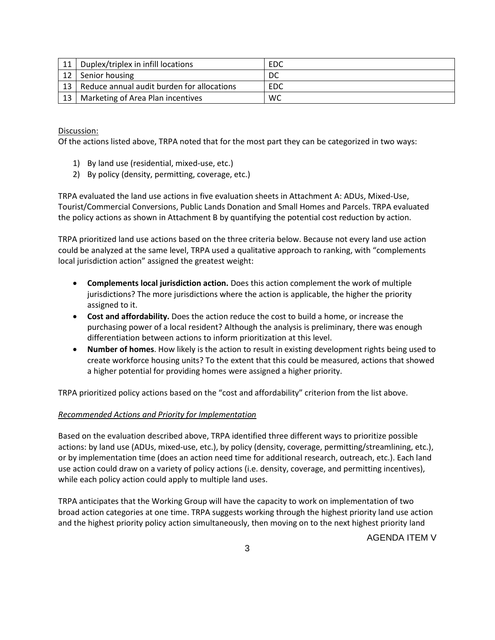| 11    | Duplex/triplex in infill locations         | EDC       |
|-------|--------------------------------------------|-----------|
| 12    | Senior housing                             | DC        |
| $-13$ | Reduce annual audit burden for allocations | EDC       |
| 13    | Marketing of Area Plan incentives          | <b>WC</b> |

Discussion:

Of the actions listed above, TRPA noted that for the most part they can be categorized in two ways:

- 1) By land use (residential, mixed-use, etc.)
- 2) By policy (density, permitting, coverage, etc.)

TRPA evaluated the land use actions in five evaluation sheets in Attachment A: ADUs, Mixed-Use, Tourist/Commercial Conversions, Public Lands Donation and Small Homes and Parcels. TRPA evaluated the policy actions as shown in Attachment B by quantifying the potential cost reduction by action.

TRPA prioritized land use actions based on the three criteria below. Because not every land use action could be analyzed at the same level, TRPA used a qualitative approach to ranking, with "complements local jurisdiction action" assigned the greatest weight:

- **Complements local jurisdiction action.** Does this action complement the work of multiple jurisdictions? The more jurisdictions where the action is applicable, the higher the priority assigned to it.
- **Cost and affordability.** Does the action reduce the cost to build a home, or increase the purchasing power of a local resident? Although the analysis is preliminary, there was enough differentiation between actions to inform prioritization at this level.
- **Number of homes**. How likely is the action to result in existing development rights being used to create workforce housing units? To the extent that this could be measured, actions that showed a higher potential for providing homes were assigned a higher priority.

TRPA prioritized policy actions based on the "cost and affordability" criterion from the list above.

## *Recommended Actions and Priority for Implementation*

Based on the evaluation described above, TRPA identified three different ways to prioritize possible actions: by land use (ADUs, mixed-use, etc.), by policy (density, coverage, permitting/streamlining, etc.), or by implementation time (does an action need time for additional research, outreach, etc.). Each land use action could draw on a variety of policy actions (i.e. density, coverage, and permitting incentives), while each policy action could apply to multiple land uses.

TRPA anticipates that the Working Group will have the capacity to work on implementation of two broad action categories at one time. TRPA suggests working through the highest priority land use action and the highest priority policy action simultaneously, then moving on to the next highest priority land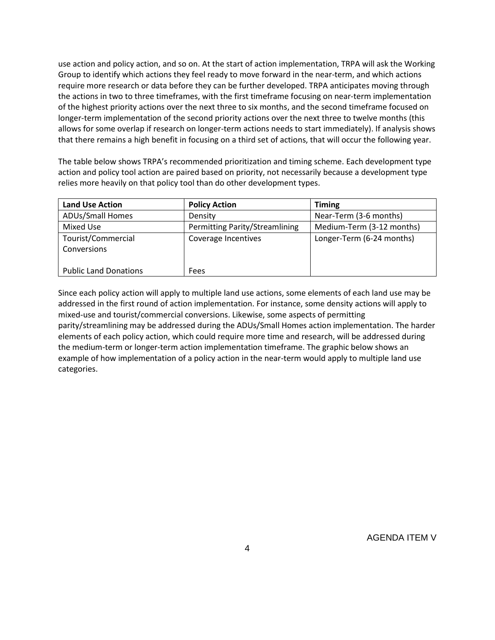use action and policy action, and so on. At the start of action implementation, TRPA will ask the Working Group to identify which actions they feel ready to move forward in the near-term, and which actions require more research or data before they can be further developed. TRPA anticipates moving through the actions in two to three timeframes, with the first timeframe focusing on near-term implementation of the highest priority actions over the next three to six months, and the second timeframe focused on longer-term implementation of the second priority actions over the next three to twelve months (this allows for some overlap if research on longer-term actions needs to start immediately). If analysis shows that there remains a high benefit in focusing on a third set of actions, that will occur the following year.

The table below shows TRPA's recommended prioritization and timing scheme. Each development type action and policy tool action are paired based on priority, not necessarily because a development type relies more heavily on that policy tool than do other development types.

| <b>Land Use Action</b>       | <b>Policy Action</b>           | <b>Timing</b>             |
|------------------------------|--------------------------------|---------------------------|
| <b>ADUs/Small Homes</b>      | Density                        | Near-Term (3-6 months)    |
| Mixed Use                    | Permitting Parity/Streamlining | Medium-Term (3-12 months) |
| Tourist/Commercial           | Coverage Incentives            | Longer-Term (6-24 months) |
| Conversions                  |                                |                           |
|                              |                                |                           |
| <b>Public Land Donations</b> | <b>Fees</b>                    |                           |

Since each policy action will apply to multiple land use actions, some elements of each land use may be addressed in the first round of action implementation. For instance, some density actions will apply to mixed-use and tourist/commercial conversions. Likewise, some aspects of permitting parity/streamlining may be addressed during the ADUs/Small Homes action implementation. The harder elements of each policy action, which could require more time and research, will be addressed during the medium-term or longer-term action implementation timeframe. The graphic below shows an example of how implementation of a policy action in the near-term would apply to multiple land use categories.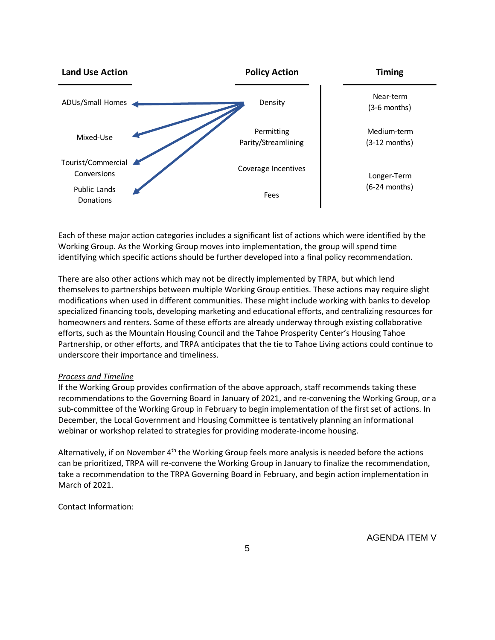

Each of these major action categories includes a significant list of actions which were identified by the Working Group. As the Working Group moves into implementation, the group will spend time identifying which specific actions should be further developed into a final policy recommendation.

There are also other actions which may not be directly implemented by TRPA, but which lend themselves to partnerships between multiple Working Group entities. These actions may require slight modifications when used in different communities. These might include working with banks to develop specialized financing tools, developing marketing and educational efforts, and centralizing resources for homeowners and renters. Some of these efforts are already underway through existing collaborative efforts, such as the Mountain Housing Council and the Tahoe Prosperity Center's Housing Tahoe Partnership, or other efforts, and TRPA anticipates that the tie to Tahoe Living actions could continue to underscore their importance and timeliness.

### *Process and Timeline*

If the Working Group provides confirmation of the above approach, staff recommends taking these recommendations to the Governing Board in January of 2021, and re-convening the Working Group, or a sub-committee of the Working Group in February to begin implementation of the first set of actions. In December, the Local Government and Housing Committee is tentatively planning an informational webinar or workshop related to strategies for providing moderate-income housing.

Alternatively, if on November  $4<sup>th</sup>$  the Working Group feels more analysis is needed before the actions can be prioritized, TRPA will re-convene the Working Group in January to finalize the recommendation, take a recommendation to the TRPA Governing Board in February, and begin action implementation in March of 2021.

### Contact Information: